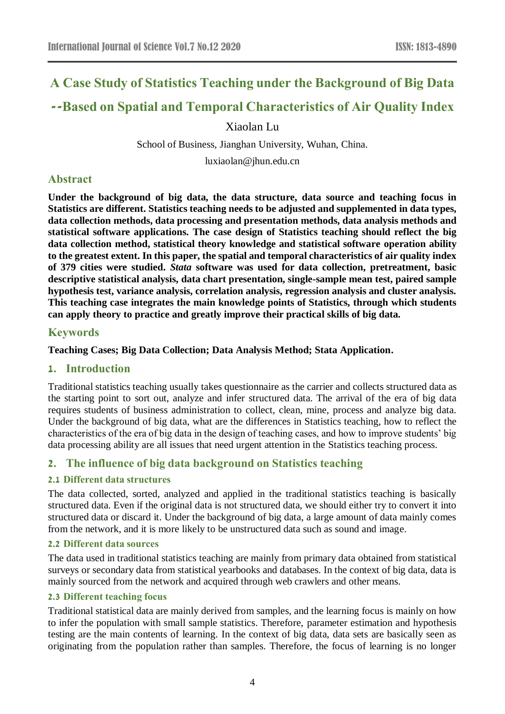# **A Case Study of Statistics Teaching under the Background of Big Data**

# **--Based on Spatial and Temporal Characteristics of Air Quality Index**

Xiaolan Lu

School of Business, Jianghan University, Wuhan, China.

luxiaolan@jhun.edu.cn

## **Abstract**

**Under the background of big data, the data structure, data source and teaching focus in Statistics are different. Statistics teaching needs to be adjusted and supplemented in data types, data collection methods, data processing and presentation methods, data analysis methods and statistical software applications. The case design of Statistics teaching should reflect the big data collection method, statistical theory knowledge and statistical software operation ability to the greatest extent. In this paper, the spatial and temporal characteristics of air quality index of 379 cities were studied.** *Stata* **software was used for data collection, pretreatment, basic descriptive statistical analysis, data chart presentation, single-sample mean test, paired sample hypothesis test, variance analysis, correlation analysis, regression analysis and cluster analysis. This teaching case integrates the main knowledge points of Statistics, through which students can apply theory to practice and greatly improve their practical skills of big data.**

## **Keywords**

**Teaching Cases; Big Data Collection; Data Analysis Method; Stata Application.**

## **1. Introduction**

Traditional statistics teaching usually takes questionnaire as the carrier and collects structured data as the starting point to sort out, analyze and infer structured data. The arrival of the era of big data requires students of business administration to collect, clean, mine, process and analyze big data. Under the background of big data, what are the differences in Statistics teaching, how to reflect the characteristics of the era of big data in the design of teaching cases, and how to improve students' big data processing ability are all issues that need urgent attention in the Statistics teaching process.

# **2. The influence of big data background on Statistics teaching**

## **2.1 Different data structures**

The data collected, sorted, analyzed and applied in the traditional statistics teaching is basically structured data. Even if the original data is not structured data, we should either try to convert it into structured data or discard it. Under the background of big data, a large amount of data mainly comes from the network, and it is more likely to be unstructured data such as sound and image.

#### **2.2 Different data sources**

The data used in traditional statistics teaching are mainly from primary data obtained from statistical surveys or secondary data from statistical yearbooks and databases. In the context of big data, data is mainly sourced from the network and acquired through web crawlers and other means.

## **2.3 Different teaching focus**

Traditional statistical data are mainly derived from samples, and the learning focus is mainly on how to infer the population with small sample statistics. Therefore, parameter estimation and hypothesis testing are the main contents of learning. In the context of big data, data sets are basically seen as originating from the population rather than samples. Therefore, the focus of learning is no longer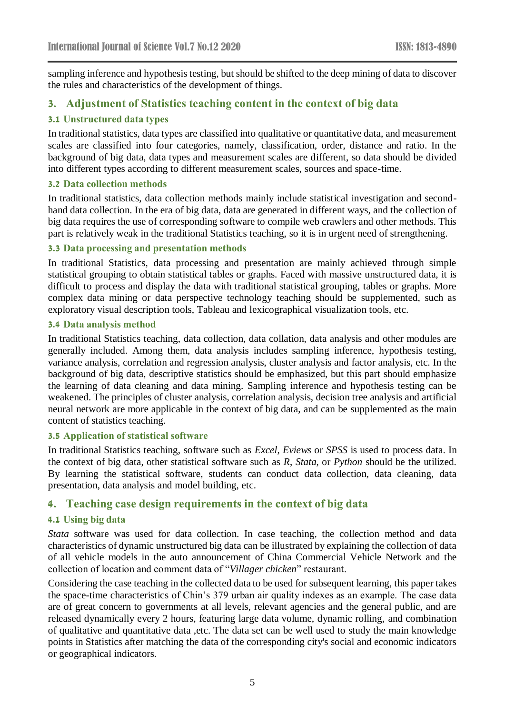sampling inference and hypothesis testing, but should be shifted to the deep mining of data to discover the rules and characteristics of the development of things.

## **3. Adjustment of Statistics teaching content in the context of big data**

#### **3.1 Unstructured data types**

In traditional statistics, data types are classified into qualitative or quantitative data, and measurement scales are classified into four categories, namely, classification, order, distance and ratio. In the background of big data, data types and measurement scales are different, so data should be divided into different types according to different measurement scales, sources and space-time.

#### **3.2 Data collection methods**

In traditional statistics, data collection methods mainly include statistical investigation and secondhand data collection. In the era of big data, data are generated in different ways, and the collection of big data requires the use of corresponding software to compile web crawlers and other methods. This part is relatively weak in the traditional Statistics teaching, so it is in urgent need of strengthening.

#### **3.3 Data processing and presentation methods**

In traditional Statistics, data processing and presentation are mainly achieved through simple statistical grouping to obtain statistical tables or graphs. Faced with massive unstructured data, it is difficult to process and display the data with traditional statistical grouping, tables or graphs. More complex data mining or data perspective technology teaching should be supplemented, such as exploratory visual description tools, Tableau and lexicographical visualization tools, etc.

#### **3.4 Data analysis method**

In traditional Statistics teaching, data collection, data collation, data analysis and other modules are generally included. Among them, data analysis includes sampling inference, hypothesis testing, variance analysis, correlation and regression analysis, cluster analysis and factor analysis, etc. In the background of big data, descriptive statistics should be emphasized, but this part should emphasize the learning of data cleaning and data mining. Sampling inference and hypothesis testing can be weakened. The principles of cluster analysis, correlation analysis, decision tree analysis and artificial neural network are more applicable in the context of big data, and can be supplemented as the main content of statistics teaching.

#### **3.5 Application of statistical software**

In traditional Statistics teaching, software such as *Excel*, *Eviews* or *SPSS* is used to process data. In the context of big data, other statistical software such as *R*, *Stata*, or *Python* should be the utilized. By learning the statistical software, students can conduct data collection, data cleaning, data presentation, data analysis and model building, etc.

## **4. Teaching case design requirements in the context of big data**

#### **4.1 Using big data**

*Stata* software was used for data collection. In case teaching, the collection method and data characteristics of dynamic unstructured big data can be illustrated by explaining the collection of data of all vehicle models in the auto announcement of China Commercial Vehicle Network and the collection of location and comment data of "*Villager chicken*" restaurant.

Considering the case teaching in the collected data to be used for subsequent learning, this paper takes the space-time characteristics of Chin's 379 urban air quality indexes as an example. The case data are of great concern to governments at all levels, relevant agencies and the general public, and are released dynamically every 2 hours, featuring large data volume, dynamic rolling, and combination of qualitative and quantitative data ,etc. The data set can be well used to study the main knowledge points in Statistics after matching the data of the corresponding city's social and economic indicators or geographical indicators.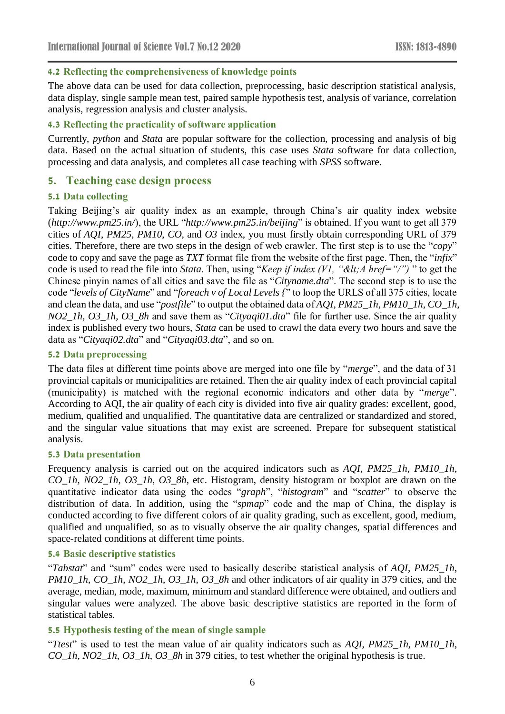#### **4.2 Reflecting the comprehensiveness of knowledge points**

The above data can be used for data collection, preprocessing, basic description statistical analysis, data display, single sample mean test, paired sample hypothesis test, analysis of variance, correlation analysis, regression analysis and cluster analysis.

#### **4.3 Reflecting the practicality of software application**

Currently, *python* and *Stata* are popular software for the collection, processing and analysis of big data. Based on the actual situation of students, this case uses *Stata* software for data collection, processing and data analysis, and completes all case teaching with *SPSS* software.

## **5. Teaching case design process**

#### **5.1 Data collecting**

Taking Beijing's air quality index as an example, through China's air quality index website (*http://www.pm25.in/*), the URL "*http://www.pm25.in/beijing*" is obtained. If you want to get all 379 cities of *AQI*, *PM25*, *PM10*, *CO*, and *O3* index, you must firstly obtain corresponding URL of 379 cities. Therefore, there are two steps in the design of web crawler. The first step is to use the "*copy*" code to copy and save the page as *TXT* format file from the website of the first page. Then, the "*infix*" code is used to read the file into *Stata*. Then, using "*Keep if index (V1, "<A href="/")* " to get the Chinese pinyin names of all cities and save the file as "*Cityname.dta*". The second step is to use the code "*levels of CityName*" and "*foreach v of Local Levels {*" to loop the URLS of all 375 cities, locate and clean the data, and use "*postfile*" to output the obtained data of *AQI*, *PM25\_1h*, *PM10\_1h*, *CO\_1h*, *NO2\_1h*, *O3\_1h*, *O3\_8h* and save them as "*Cityaqi01.dta*" file for further use. Since the air quality index is published every two hours, *Stata* can be used to crawl the data every two hours and save the data as "*Cityaqi02.dta*" and "*Cityaqi03.dta*", and so on.

#### **5.2 Data preprocessing**

The data files at different time points above are merged into one file by "*merge*", and the data of 31 provincial capitals or municipalities are retained. Then the air quality index of each provincial capital (municipality) is matched with the regional economic indicators and other data by "*merge*". According to AQI, the air quality of each city is divided into five air quality grades: excellent, good, medium, qualified and unqualified. The quantitative data are centralized or standardized and stored, and the singular value situations that may exist are screened. Prepare for subsequent statistical analysis.

#### **5.3 Data presentation**

Frequency analysis is carried out on the acquired indicators such as *AQI*, *PM25\_1h*, *PM10\_1h*, *CO\_1h*, *NO2\_1h*, *O3\_1h*, *O3\_8h,* etc. Histogram, density histogram or boxplot are drawn on the quantitative indicator data using the codes "*graph*", "*histogram*" and "*scatter*" to observe the distribution of data. In addition, using the "*spmap*" code and the map of China, the display is conducted according to five different colors of air quality grading, such as excellent, good, medium, qualified and unqualified, so as to visually observe the air quality changes, spatial differences and space-related conditions at different time points.

#### **5.4 Basic descriptive statistics**

"*Tabstat*" and "sum" codes were used to basically describe statistical analysis of *AQI*, *PM25\_1h*, *PM10\_1h*, *CO\_1h*, *NO2\_1h*, *O3\_1h*, *O3\_8h* and other indicators of air quality in 379 cities, and the average, median, mode, maximum, minimum and standard difference were obtained, and outliers and singular values were analyzed. The above basic descriptive statistics are reported in the form of statistical tables.

#### **5.5 Hypothesis testing of the mean of single sample**

"*Ttest*" is used to test the mean value of air quality indicators such as *AQI*, *PM25\_1h*, *PM10\_1h*, *CO\_1h*, *NO2\_1h*, *O3\_1h*, *O3\_8h* in 379 cities, to test whether the original hypothesis is true.